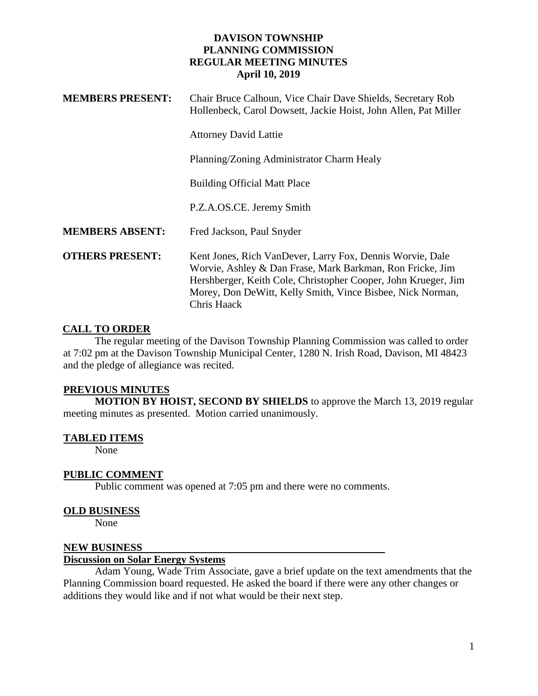| <b>MEMBERS PRESENT:</b> | Chair Bruce Calhoun, Vice Chair Dave Shields, Secretary Rob<br>Hollenbeck, Carol Dowsett, Jackie Hoist, John Allen, Pat Miller                                                                                                                                        |
|-------------------------|-----------------------------------------------------------------------------------------------------------------------------------------------------------------------------------------------------------------------------------------------------------------------|
|                         | <b>Attorney David Lattie</b>                                                                                                                                                                                                                                          |
|                         | Planning/Zoning Administrator Charm Healy                                                                                                                                                                                                                             |
|                         | <b>Building Official Matt Place</b>                                                                                                                                                                                                                                   |
|                         | P.Z.A.OS.CE. Jeremy Smith                                                                                                                                                                                                                                             |
| <b>MEMBERS ABSENT:</b>  | Fred Jackson, Paul Snyder                                                                                                                                                                                                                                             |
| <b>OTHERS PRESENT:</b>  | Kent Jones, Rich VanDever, Larry Fox, Dennis Worvie, Dale<br>Worvie, Ashley & Dan Frase, Mark Barkman, Ron Fricke, Jim<br>Hershberger, Keith Cole, Christopher Cooper, John Krueger, Jim<br>Morey, Don DeWitt, Kelly Smith, Vince Bisbee, Nick Norman,<br>Chris Haack |

# **CALL TO ORDER**

The regular meeting of the Davison Township Planning Commission was called to order at 7:02 pm at the Davison Township Municipal Center, 1280 N. Irish Road, Davison, MI 48423 and the pledge of allegiance was recited.

# **PREVIOUS MINUTES**

**MOTION BY HOIST, SECOND BY SHIELDS** to approve the March 13, 2019 regular meeting minutes as presented. Motion carried unanimously.

# **TABLED ITEMS**

None

# **PUBLIC COMMENT**

Public comment was opened at 7:05 pm and there were no comments.

# **OLD BUSINESS**

None

# **NEW BUSINESS**

## **Discussion on Solar Energy Systems**

Adam Young, Wade Trim Associate, gave a brief update on the text amendments that the Planning Commission board requested. He asked the board if there were any other changes or additions they would like and if not what would be their next step.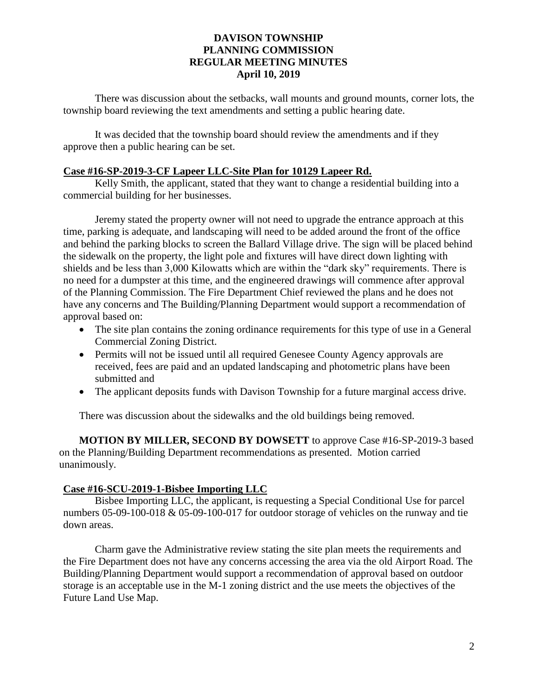There was discussion about the setbacks, wall mounts and ground mounts, corner lots, the township board reviewing the text amendments and setting a public hearing date.

It was decided that the township board should review the amendments and if they approve then a public hearing can be set.

## **Case #16-SP-2019-3-CF Lapeer LLC-Site Plan for 10129 Lapeer Rd.**

Kelly Smith, the applicant, stated that they want to change a residential building into a commercial building for her businesses.

Jeremy stated the property owner will not need to upgrade the entrance approach at this time, parking is adequate, and landscaping will need to be added around the front of the office and behind the parking blocks to screen the Ballard Village drive. The sign will be placed behind the sidewalk on the property, the light pole and fixtures will have direct down lighting with shields and be less than 3,000 Kilowatts which are within the "dark sky" requirements. There is no need for a dumpster at this time, and the engineered drawings will commence after approval of the Planning Commission. The Fire Department Chief reviewed the plans and he does not have any concerns and The Building/Planning Department would support a recommendation of approval based on:

- The site plan contains the zoning ordinance requirements for this type of use in a General Commercial Zoning District.
- Permits will not be issued until all required Genesee County Agency approvals are received, fees are paid and an updated landscaping and photometric plans have been submitted and
- The applicant deposits funds with Davison Township for a future marginal access drive.

There was discussion about the sidewalks and the old buildings being removed.

**MOTION BY MILLER, SECOND BY DOWSETT** to approve Case #16-SP-2019-3 based on the Planning/Building Department recommendations as presented. Motion carried unanimously.

# **Case #16-SCU-2019-1-Bisbee Importing LLC**

Bisbee Importing LLC, the applicant, is requesting a Special Conditional Use for parcel numbers 05-09-100-018 & 05-09-100-017 for outdoor storage of vehicles on the runway and tie down areas.

Charm gave the Administrative review stating the site plan meets the requirements and the Fire Department does not have any concerns accessing the area via the old Airport Road. The Building/Planning Department would support a recommendation of approval based on outdoor storage is an acceptable use in the M-1 zoning district and the use meets the objectives of the Future Land Use Map.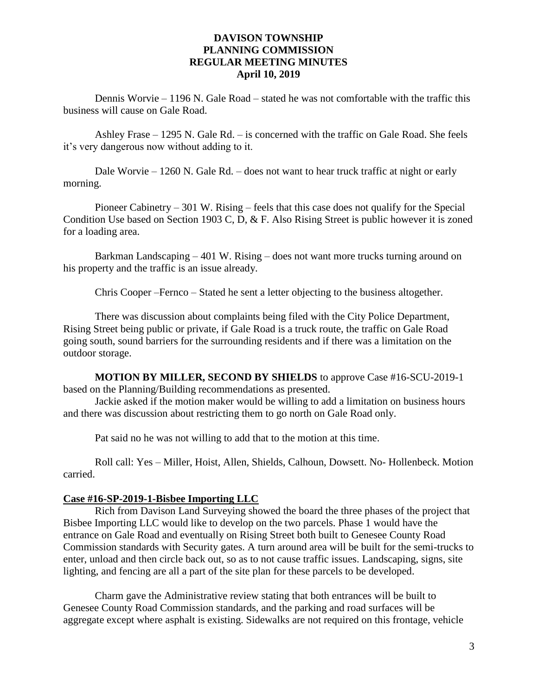Dennis Worvie – 1196 N. Gale Road – stated he was not comfortable with the traffic this business will cause on Gale Road.

Ashley Frase – 1295 N. Gale Rd. – is concerned with the traffic on Gale Road. She feels it's very dangerous now without adding to it.

Dale Worvie – 1260 N. Gale Rd. – does not want to hear truck traffic at night or early morning.

Pioneer Cabinetry – 301 W. Rising – feels that this case does not qualify for the Special Condition Use based on Section 1903 C, D, & F. Also Rising Street is public however it is zoned for a loading area.

Barkman Landscaping – 401 W. Rising – does not want more trucks turning around on his property and the traffic is an issue already.

Chris Cooper –Fernco – Stated he sent a letter objecting to the business altogether.

There was discussion about complaints being filed with the City Police Department, Rising Street being public or private, if Gale Road is a truck route, the traffic on Gale Road going south, sound barriers for the surrounding residents and if there was a limitation on the outdoor storage.

**MOTION BY MILLER, SECOND BY SHIELDS** to approve Case #16-SCU-2019-1 based on the Planning/Building recommendations as presented.

Jackie asked if the motion maker would be willing to add a limitation on business hours and there was discussion about restricting them to go north on Gale Road only.

Pat said no he was not willing to add that to the motion at this time.

Roll call: Yes – Miller, Hoist, Allen, Shields, Calhoun, Dowsett. No- Hollenbeck. Motion carried.

#### **Case #16-SP-2019-1-Bisbee Importing LLC**

Rich from Davison Land Surveying showed the board the three phases of the project that Bisbee Importing LLC would like to develop on the two parcels. Phase 1 would have the entrance on Gale Road and eventually on Rising Street both built to Genesee County Road Commission standards with Security gates. A turn around area will be built for the semi-trucks to enter, unload and then circle back out, so as to not cause traffic issues. Landscaping, signs, site lighting, and fencing are all a part of the site plan for these parcels to be developed.

Charm gave the Administrative review stating that both entrances will be built to Genesee County Road Commission standards, and the parking and road surfaces will be aggregate except where asphalt is existing. Sidewalks are not required on this frontage, vehicle